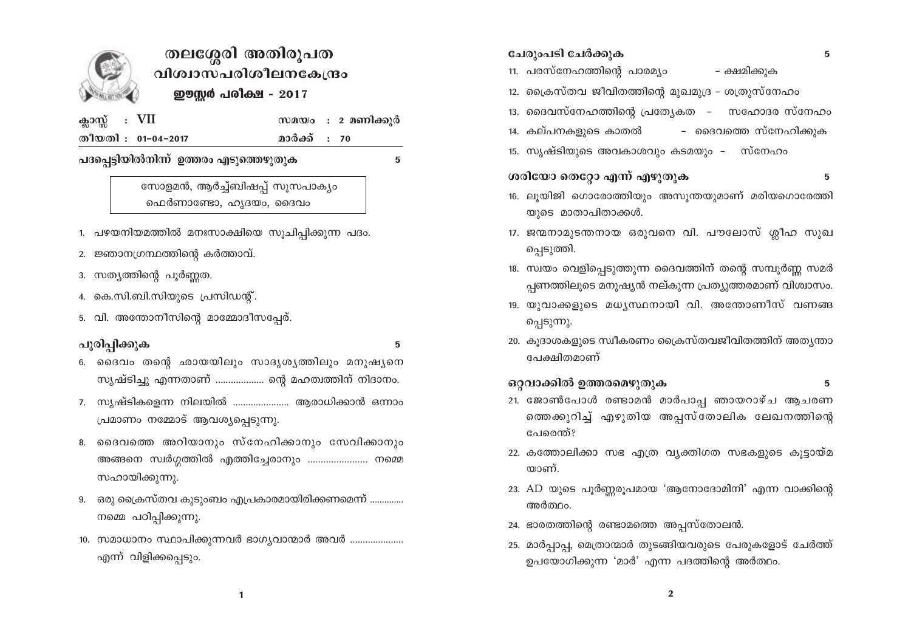

## തലശ്ശേരി അതിരൂപത വിശ്വാസപരിശീലനകേന്ദ്രം ഈസ്റ്റർ പരിക്ഷ - 2017

| ക്ലാസ്സ്: $VII$ |                    | സമയം    |
|-----------------|--------------------|---------|
|                 | തീയതി : 01-04-2017 | മാർക്ക് |

: 2 മണിക്കൂർ  $: 70$ 

പദപ്പെട്ടിയിൽനിന്ന് ഉത്തരം എടുത്തെഴുതുക

5

സോളമൻ, ആർച്ച്ബിഷപ്പ് സൂസപാക്യം ഫെർണാണ്ടോ, ഹൃദയം, ദൈവം

- 1. പഴയനിയമത്തിൽ മനഃസാക്ഷിയെ സൂചിപ്പിക്കുന്ന പദം.
- 2. ജ്ഞാനഗ്രന്ഥത്തിന്റെ കർത്താവ്.
- 3. സത്യത്തിന്റെ പൂർണ്ണത.
- 4. കെ.സി.ബി.സിയുടെ പ്രസിഡന്റ്.
- 5. വി. അന്തോനീസിന്റെ മാമ്മോദീസപ്പേര്.

## പൂരിപ്പിക്കുക

 $5\overline{5}$ 

- 6. ദൈവം തന്റെ ഛായയിലും സാദൃശൃത്തിലും മനുഷൃനെ സൃഷ്ടിച്ചു എന്നതാണ് ................... ന്റെ മഹത്വത്തിന് നിദാനം.
- 7. സൃഷ്ടികളെന്ന നിലയിൽ ....................... ആരാധിക്കാൻ ഒന്നാം പ്രമാണം നമ്മോട് ആവശ്യപ്പെടുന്നു.
- 8. ദൈവത്തെ അറിയാനും സ്നേഹിക്കാനും സേവിക്കാനും അങ്ങനെ സ്വർഗ്ഗത്തിൽ എത്തിച്ചേരാനും ......................... നമ്മെ സഹായിക്കുന്നു.
- 9. ഒരു ക്രൈസ്തവ കുടുംബം എപ്രകാരമായിരിക്കണമെന്ന് .............. നമ്മെ പഠിപ്പിക്കുന്നു.
- 10. സമാധാനം സ്ഥാപിക്കുന്നവർ ഭാഗൃവാന്മാർ അവർ ..................... എന്ന് വിളിക്കപ്പെടും.

|                                | ചേരുംപടി ചേർക്കുക<br>5                                                                                           |  |  |  |
|--------------------------------|------------------------------------------------------------------------------------------------------------------|--|--|--|
| 11.                            | പരസ്നേഹത്തിന്റെ പാരമ്യം<br>– ക്ഷമിക്കുക                                                                          |  |  |  |
| 12.                            | പ്രൈസ്തവ ജീവിതത്തിന്റെ മുഖമുദ്ര – ശത്രുസ്നേഹം                                                                    |  |  |  |
| 13.                            | ദൈവസ്നേഹത്തിന്റെ പ്രത്യേകത – സഹോദര സ്നേഹം                                                                        |  |  |  |
| 14.                            | കല്പനകളുടെ കാതൽ<br>– ദൈവത്തെ സ്നേഹിക്കുക                                                                         |  |  |  |
| 15.                            | സൃഷ്ടിയുടെ അവകാശവും കടമയും -   സ്നേഹം                                                                            |  |  |  |
| ശരിയോ തെറ്റോ എന്ന് എഴുതുക<br>5 |                                                                                                                  |  |  |  |
| 16.                            | ലൂയിജി ഗൊരോത്തിയും അസൂന്തയുമാണ് മരിയഗൊരേത്തി<br>യുടെ മാതാപിതാക്കൾ.                                               |  |  |  |
| 17.                            | ജന്മനാമുടന്തനായ ഒരുവനെ വി. പൗലോസ് ശ്ലീഹ സുഖ<br>പ്പെടുത്തി.                                                       |  |  |  |
| 18.                            | സ്വയം വെളിപ്പെടുത്തുന്ന ദൈവത്തിന് തന്റെ സമ്പൂർണ്ണ സമർ<br>പ്പണത്തിലൂടെ മനുഷ്യൻ നല്കുന്ന പ്രത്യുത്തരമാണ് വിശ്വാസം. |  |  |  |
| 19.                            | യുവാക്കളുടെ മധൃസ്ഥനായി വി. അന്തോണീസ് വണങ്ങ<br>പ്പെടുന്നു.                                                        |  |  |  |
|                                | 20. കൂദാശകളുടെ സ്വീകരണം ക്രൈസ്തവജീവിതത്തിന് അത്യന്താ<br>പേക്ഷിതമാണ്                                              |  |  |  |
|                                | ഒറ്റവാക്കിൽ ഉത്തരമെഴുതുക<br>5                                                                                    |  |  |  |
|                                | 21. ജോൺപോൾ രണ്ടാമൻ മാർപാപ്പ ഞായറാഴ്ച ആചരണ<br>ത്തെക്കുറിച്ച് എഴുതിയ അപ്പസ്തോലിക ലേഖനത്തിന്റെ<br>പേരെന്ത്?         |  |  |  |
|                                | 22. കത്തോലിക്കാ സഭ എത്ര വൃക്തിഗത സഭകളുടെ കൂട്ടായ്മ<br>യാണ്.                                                      |  |  |  |
|                                | 23. AD യുടെ പൂർണ്ണരൂപമായ 'ആനോദോമിനി' എന്ന വാക്കിന്റെ<br>അർത്ഥം.                                                  |  |  |  |
|                                | 24. ഭാരതത്തിന്റെ രണ്ടാമത്തെ അപ്പസ്തോലൻ.                                                                          |  |  |  |
|                                | 25. മാർപ്പാപ്പ, മെത്രാന്മാർ തുടങ്ങിയവരുടെ പേരുകളോട് ചേർത്ത്<br>ഉപയോഗിക്കുന്ന 'മാർ' എന്ന പദത്തിന്റെ അർത്ഥം.       |  |  |  |